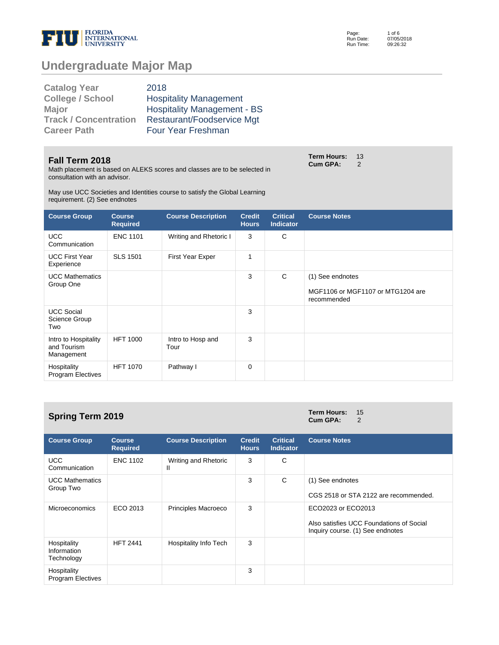

Page: Run Date: Run Time: 1 of 6 07/05/2018 09:26:32

# **Undergraduate Major Map**

| 2018                               |
|------------------------------------|
| <b>Hospitality Management</b>      |
| <b>Hospitality Management - BS</b> |
| Restaurant/Foodservice Mgt         |
| <b>Four Year Freshman</b>          |
|                                    |

#### **Fall Term 2018**

Math placement is based on ALEKS scores and classes are to be selected in consultation with an advisor.

May use UCC Societies and Identities course to satisfy the Global Learning requirement. (2) See endnotes

| <b>Course Group</b>                               | <b>Course</b><br><b>Required</b> | <b>Course Description</b> | <b>Credit</b><br><b>Hours</b> | <b>Critical</b><br><b>Indicator</b> | <b>Course Notes</b>                                                  |
|---------------------------------------------------|----------------------------------|---------------------------|-------------------------------|-------------------------------------|----------------------------------------------------------------------|
| <b>UCC</b><br>Communication                       | <b>ENC 1101</b>                  | Writing and Rhetoric I    | 3                             | C                                   |                                                                      |
| <b>UCC First Year</b><br>Experience               | <b>SLS 1501</b>                  | First Year Exper          | 1                             |                                     |                                                                      |
| <b>UCC Mathematics</b><br>Group One               |                                  |                           | 3                             | C                                   | (1) See endnotes<br>MGF1106 or MGF1107 or MTG1204 are<br>recommended |
| <b>UCC Social</b><br>Science Group<br>Two         |                                  |                           | 3                             |                                     |                                                                      |
| Intro to Hospitality<br>and Tourism<br>Management | <b>HFT 1000</b>                  | Intro to Hosp and<br>Tour | 3                             |                                     |                                                                      |
| Hospitality<br><b>Program Electives</b>           | <b>HFT 1070</b>                  | Pathway I                 | 0                             |                                     |                                                                      |

| <b>Spring Term 2019</b>                  |                                  | <b>Term Hours:</b><br>15<br>Cum GPA:<br>2 |                               |                                     |                                                                                                    |
|------------------------------------------|----------------------------------|-------------------------------------------|-------------------------------|-------------------------------------|----------------------------------------------------------------------------------------------------|
| <b>Course Group</b>                      | <b>Course</b><br><b>Required</b> | <b>Course Description</b>                 | <b>Credit</b><br><b>Hours</b> | <b>Critical</b><br><b>Indicator</b> | <b>Course Notes</b>                                                                                |
| <b>UCC</b><br>Communication              | <b>ENC 1102</b>                  | Writing and Rhetoric<br>Ш                 | 3                             | C                                   |                                                                                                    |
| <b>UCC Mathematics</b><br>Group Two      |                                  |                                           | 3                             | C                                   | (1) See endnotes<br>CGS 2518 or STA 2122 are recommended.                                          |
| <b>Microeconomics</b>                    | ECO 2013                         | Principles Macroeco                       | 3                             |                                     | ECO2023 or ECO2013<br>Also satisfies UCC Foundations of Social<br>Inquiry course. (1) See endnotes |
| Hospitality<br>Information<br>Technology | <b>HFT 2441</b>                  | Hospitality Info Tech                     | 3                             |                                     |                                                                                                    |
| Hospitality<br><b>Program Electives</b>  |                                  |                                           | 3                             |                                     |                                                                                                    |

**Term Hours: 13<br>Cum GPA: 2 Cum GPA:**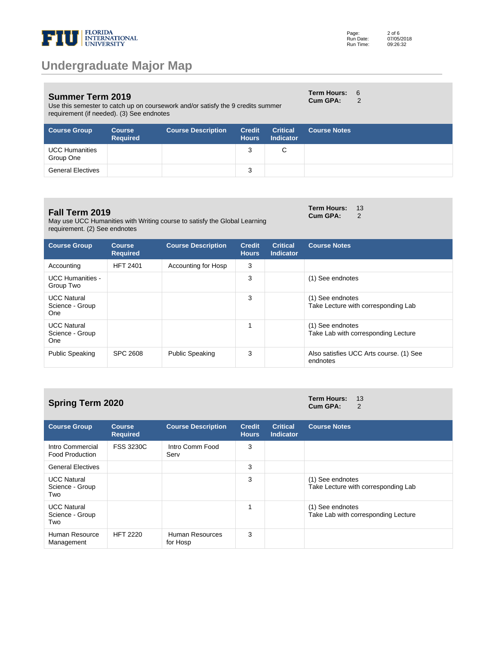

Use this semester to catch up on coursework and/or satisfy the 9 credits summer requirement (if needed). (3) See endnotes

| Page:     | $2$ of 6   |
|-----------|------------|
| Run Date: | 07/05/2018 |
| Run Time: | 09:26:32   |

**Cum GPA:** 2

| <b>Course Group</b>                | <b>Course</b><br><b>Required</b> | <b>Course Description</b> | <b>Credit</b><br><b>Hours</b> | <b>Critical</b><br><b>Indicator</b> | <b>Course Notes</b> |
|------------------------------------|----------------------------------|---------------------------|-------------------------------|-------------------------------------|---------------------|
| <b>UCC Humanities</b><br>Group One |                                  |                           |                               |                                     |                     |
| <b>General Electives</b>           |                                  |                           | 3                             |                                     |                     |

#### **Fall Term 2019**

May use UCC Humanities with Writing course to satisfy the Global Learning requirement. (2) See endnotes

| <b>Course Group</b>                          | <b>Course</b><br><b>Required</b> | <b>Course Description</b> | <b>Credit</b><br><b>Hours</b> | <b>Critical</b><br><b>Indicator</b> | <b>Course Notes</b>                                     |
|----------------------------------------------|----------------------------------|---------------------------|-------------------------------|-------------------------------------|---------------------------------------------------------|
| Accounting                                   | <b>HFT 2401</b>                  | Accounting for Hosp       | 3                             |                                     |                                                         |
| <b>UCC Humanities -</b><br>Group Two         |                                  |                           | 3                             |                                     | (1) See endnotes                                        |
| <b>UCC Natural</b><br>Science - Group<br>One |                                  |                           | 3                             |                                     | (1) See endnotes<br>Take Lecture with corresponding Lab |
| <b>UCC Natural</b><br>Science - Group<br>One |                                  |                           | 1                             |                                     | (1) See endnotes<br>Take Lab with corresponding Lecture |
| <b>Public Speaking</b>                       | SPC 2608                         | <b>Public Speaking</b>    | 3                             |                                     | Also satisfies UCC Arts course. (1) See<br>endnotes     |

## **Spring Term 2020 Term Hours:**  $13$  **Cum GPA:**  $2$

**Cum GPA:** 

| <b>Course Group</b>                          | <b>Course</b><br><b>Required</b> | <b>Course Description</b>   | <b>Credit</b><br><b>Hours</b> | <b>Critical</b><br><b>Indicator</b> | <b>Course Notes</b>                                     |
|----------------------------------------------|----------------------------------|-----------------------------|-------------------------------|-------------------------------------|---------------------------------------------------------|
| Intro Commercial<br><b>Food Production</b>   | <b>FSS 3230C</b>                 | Intro Comm Food<br>Serv     | 3                             |                                     |                                                         |
| <b>General Electives</b>                     |                                  |                             | 3                             |                                     |                                                         |
| <b>UCC Natural</b><br>Science - Group<br>Two |                                  |                             | 3                             |                                     | (1) See endnotes<br>Take Lecture with corresponding Lab |
| <b>UCC Natural</b><br>Science - Group<br>Two |                                  |                             | 1                             |                                     | (1) See endnotes<br>Take Lab with corresponding Lecture |
| Human Resource<br>Management                 | <b>HFT 2220</b>                  | Human Resources<br>for Hosp | 3                             |                                     |                                                         |

**Term Hours:** 6

**Term Hours:** 13 **Cum GPA:** 2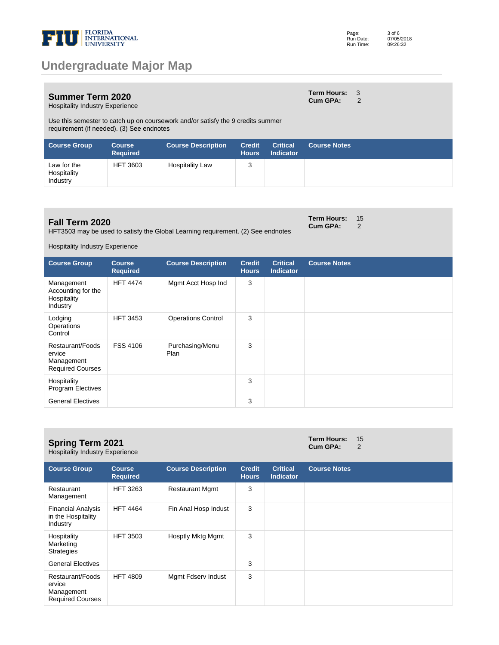

#### **Summer Term 2020**

**Term Hours:** 3 **Cum GPA:** 2

**Term Hours: 15<br>Cum GPA: 2 Cum GPA:** 

Hospitality Industry Experience

Use this semester to catch up on coursework and/or satisfy the 9 credits summer requirement (if needed). (3) See endnotes

| <b>Course Group</b>                    | <b>Course</b><br><b>Required</b> | <b>Course Description</b> | <b>Credit</b><br><b>Hours</b> | <b>Critical</b><br><b>Indicator</b> | <b>Course Notes</b> |
|----------------------------------------|----------------------------------|---------------------------|-------------------------------|-------------------------------------|---------------------|
| Law for the<br>Hospitality<br>Industry | <b>HFT 3603</b>                  | <b>Hospitality Law</b>    | 3                             |                                     |                     |

### **Fall Term 2020**

HFT3503 may be used to satisfy the Global Learning requirement. (2) See endnotes

Hospitality Industry Experience

| <b>Course Group</b>                                                 | <b>Course</b><br><b>Required</b> | <b>Course Description</b> | <b>Credit</b><br><b>Hours</b> | <b>Critical</b><br>Indicator | <b>Course Notes</b> |
|---------------------------------------------------------------------|----------------------------------|---------------------------|-------------------------------|------------------------------|---------------------|
| Management<br>Accounting for the<br>Hospitality<br>Industry         | <b>HFT 4474</b>                  | Mgmt Acct Hosp Ind        | 3                             |                              |                     |
| Lodging<br>Operations<br>Control                                    | <b>HFT 3453</b>                  | <b>Operations Control</b> | 3                             |                              |                     |
| Restaurant/Foods<br>ervice<br>Management<br><b>Required Courses</b> | FSS 4106                         | Purchasing/Menu<br>Plan   | 3                             |                              |                     |
| Hospitality<br><b>Program Electives</b>                             |                                  |                           | 3                             |                              |                     |
| <b>General Electives</b>                                            |                                  |                           | 3                             |                              |                     |

| <b>Spring Term 2021</b><br><b>Hospitality Industry Experience</b>   |                                  | <b>Term Hours:</b><br><b>Cum GPA:</b> | 15<br>2                       |                                     |                     |  |
|---------------------------------------------------------------------|----------------------------------|---------------------------------------|-------------------------------|-------------------------------------|---------------------|--|
| <b>Course Group</b>                                                 | <b>Course</b><br><b>Required</b> | <b>Course Description</b>             | <b>Credit</b><br><b>Hours</b> | <b>Critical</b><br><b>Indicator</b> | <b>Course Notes</b> |  |
| Restaurant<br>Management                                            | <b>HFT 3263</b>                  | <b>Restaurant Mgmt</b>                | 3                             |                                     |                     |  |
| <b>Financial Analysis</b><br>in the Hospitality<br>Industry         | <b>HFT 4464</b>                  | Fin Anal Hosp Indust                  | 3                             |                                     |                     |  |
| Hospitality<br>Marketing<br><b>Strategies</b>                       | <b>HFT 3503</b>                  | Hosptly Mktg Mgmt                     | 3                             |                                     |                     |  |
| <b>General Electives</b>                                            |                                  |                                       | 3                             |                                     |                     |  |
| Restaurant/Foods<br>ervice<br>Management<br><b>Required Courses</b> | <b>HFT 4809</b>                  | Mgmt Fdserv Indust                    | 3                             |                                     |                     |  |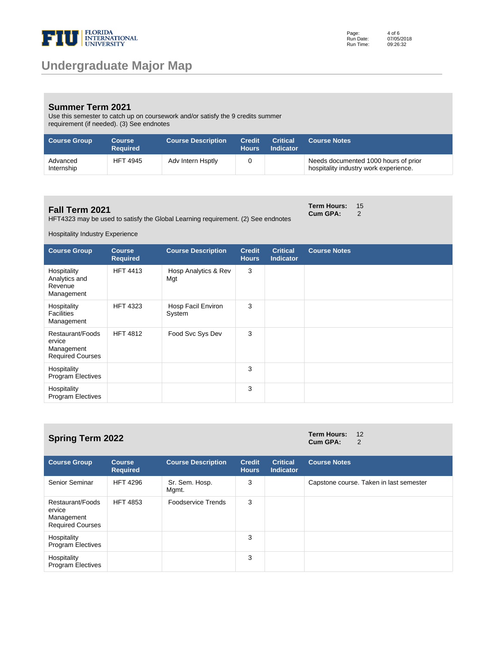

### **Summer Term 2021**

Use this semester to catch up on coursework and/or satisfy the 9 credits summer requirement (if needed). (3) See endnotes

| <b>Course Group</b>    | <b>Course</b><br><b>Required</b> | <b>Course Description</b> | Credit<br><b>Hours</b> | <b>Critical</b><br><b>Indicator</b> | <b>Course Notes</b>                                                           |
|------------------------|----------------------------------|---------------------------|------------------------|-------------------------------------|-------------------------------------------------------------------------------|
| Advanced<br>Internship | <b>HFT 4945</b>                  | Adv Intern Hsptly         |                        |                                     | Needs documented 1000 hours of prior<br>hospitality industry work experience. |

#### **Fall Term 2021**

HFT4323 may be used to satisfy the Global Learning requirement. (2) See endnotes

**Term Hours: 15<br>Cum GPA: 2 Cum GPA:** 

Hospitality Industry Experience

| <b>Course Group</b>                                                 | <b>Course</b><br><b>Required</b> | <b>Course Description</b>    | <b>Credit</b><br><b>Hours</b> | <b>Critical</b><br><b>Indicator</b> | <b>Course Notes</b> |
|---------------------------------------------------------------------|----------------------------------|------------------------------|-------------------------------|-------------------------------------|---------------------|
| Hospitality<br>Analytics and<br>Revenue<br>Management               | <b>HFT 4413</b>                  | Hosp Analytics & Rev<br>Mgt  | 3                             |                                     |                     |
| Hospitality<br><b>Facilities</b><br>Management                      | <b>HFT 4323</b>                  | Hosp Facil Environ<br>System | 3                             |                                     |                     |
| Restaurant/Foods<br>ervice<br>Management<br><b>Required Courses</b> | <b>HFT 4812</b>                  | Food Svc Sys Dev             | 3                             |                                     |                     |
| Hospitality<br>Program Electives                                    |                                  |                              | 3                             |                                     |                     |
| Hospitality<br><b>Program Electives</b>                             |                                  |                              | 3                             |                                     |                     |

# **Spring Term 2022 Term Hours:**  $12$  **Cum GPA:**  $2$

# **Cum GPA:**

| <b>Course Group</b>                                                 | <b>Course</b><br><b>Required</b> | <b>Course Description</b> | <b>Credit</b><br><b>Hours</b> | <b>Critical</b><br><b>Indicator</b> | <b>Course Notes</b>                     |
|---------------------------------------------------------------------|----------------------------------|---------------------------|-------------------------------|-------------------------------------|-----------------------------------------|
| Senior Seminar                                                      | <b>HFT 4296</b>                  | Sr. Sem. Hosp.<br>Mgmt.   | 3                             |                                     | Capstone course. Taken in last semester |
| Restaurant/Foods<br>ervice<br>Management<br><b>Required Courses</b> | <b>HFT 4853</b>                  | Foodservice Trends        | 3                             |                                     |                                         |
| Hospitality<br><b>Program Electives</b>                             |                                  |                           | 3                             |                                     |                                         |
| Hospitality<br><b>Program Electives</b>                             |                                  |                           | 3                             |                                     |                                         |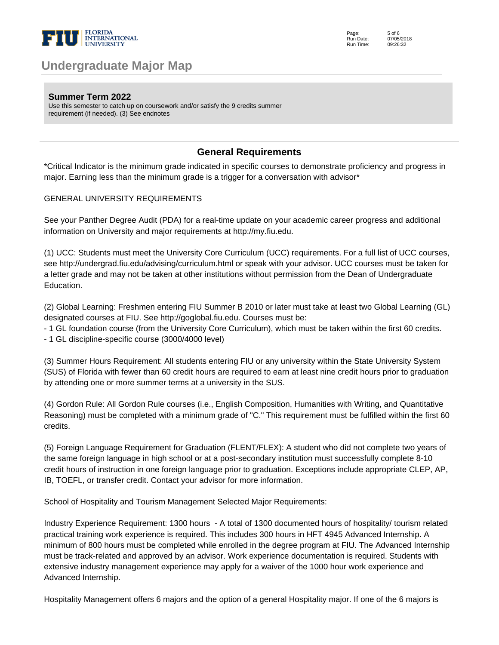

**Summer Term 2022**

Use this semester to catch up on coursework and/or satisfy the 9 credits summer requirement (if needed). (3) See endnotes

### **General Requirements**

\*Critical Indicator is the minimum grade indicated in specific courses to demonstrate proficiency and progress in major. Earning less than the minimum grade is a trigger for a conversation with advisor\*

#### GENERAL UNIVERSITY REQUIREMENTS

See your Panther Degree Audit (PDA) for a real-time update on your academic career progress and additional information on University and major requirements at http://my.fiu.edu.

(1) UCC: Students must meet the University Core Curriculum (UCC) requirements. For a full list of UCC courses, see http://undergrad.fiu.edu/advising/curriculum.html or speak with your advisor. UCC courses must be taken for a letter grade and may not be taken at other institutions without permission from the Dean of Undergraduate Education.

(2) Global Learning: Freshmen entering FIU Summer B 2010 or later must take at least two Global Learning (GL) designated courses at FIU. See http://goglobal.fiu.edu. Courses must be:

- 1 GL foundation course (from the University Core Curriculum), which must be taken within the first 60 credits.

- 1 GL discipline-specific course (3000/4000 level)

(3) Summer Hours Requirement: All students entering FIU or any university within the State University System (SUS) of Florida with fewer than 60 credit hours are required to earn at least nine credit hours prior to graduation by attending one or more summer terms at a university in the SUS.

(4) Gordon Rule: All Gordon Rule courses (i.e., English Composition, Humanities with Writing, and Quantitative Reasoning) must be completed with a minimum grade of "C." This requirement must be fulfilled within the first 60 credits.

(5) Foreign Language Requirement for Graduation (FLENT/FLEX): A student who did not complete two years of the same foreign language in high school or at a post-secondary institution must successfully complete 8-10 credit hours of instruction in one foreign language prior to graduation. Exceptions include appropriate CLEP, AP, IB, TOEFL, or transfer credit. Contact your advisor for more information.

School of Hospitality and Tourism Management Selected Major Requirements:

Industry Experience Requirement: 1300 hours - A total of 1300 documented hours of hospitality/ tourism related practical training work experience is required. This includes 300 hours in HFT 4945 Advanced Internship. A minimum of 800 hours must be completed while enrolled in the degree program at FIU. The Advanced Internship must be track-related and approved by an advisor. Work experience documentation is required. Students with extensive industry management experience may apply for a waiver of the 1000 hour work experience and Advanced Internship.

Hospitality Management offers 6 majors and the option of a general Hospitality major. If one of the 6 majors is